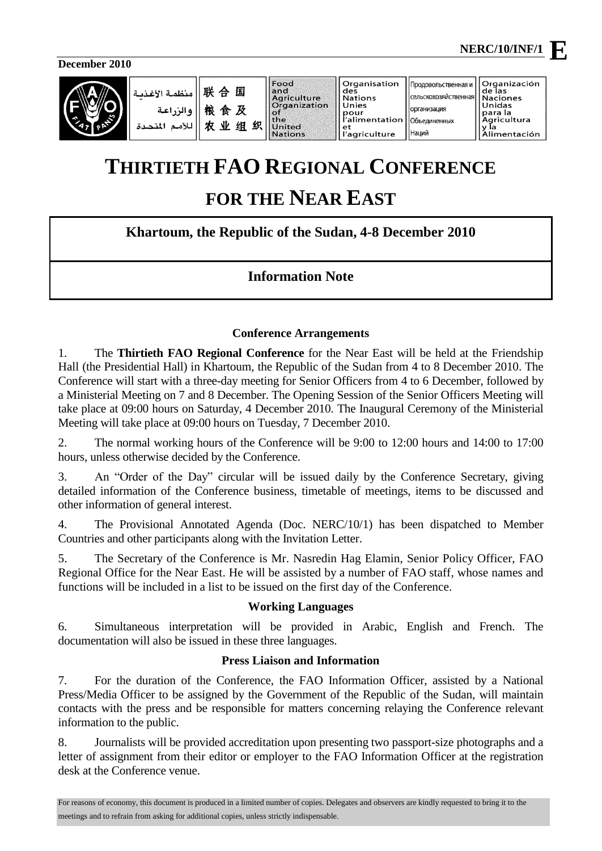Unidas

Продовольственная и

|<br>|сельскохозяйственная

|организация

Наций

**Oftho DIALIAN HOME** 

**Organización<br>de las<br>Naciones** 

omano<br>para la<br>Agricultura

**December 2010**

ä



| 联合国<br>منظمة الأغذ<br>粮食及<br>والزراعة<br>农业组织<br>للأمد<br>المتحدا | Food<br>and<br>Agriculture<br>Organization<br>οí<br>the<br><b>United</b><br><b>Nations</b> | Organisation<br>des<br>Nations<br><b>Unies</b><br>pour<br>l'alimentation<br>l'agriculture |
|-------------------------------------------------------------------|--------------------------------------------------------------------------------------------|-------------------------------------------------------------------------------------------|
|-------------------------------------------------------------------|--------------------------------------------------------------------------------------------|-------------------------------------------------------------------------------------------|

# **THIRTIETH FAO REGIONAL CONFERENCE**

# **FOR THE NEAR EAST**

# **Khartoum, the Republic of the Sudan, 4-8 December 2010**

# **Information Note**

#### **Conference Arrangements**

1. The **Thirtieth FAO Regional Conference** for the Near East will be held at the Friendship Hall (the Presidential Hall) in Khartoum, the Republic of the Sudan from 4 to 8 December 2010. The Conference will start with a three-day meeting for Senior Officers from 4 to 6 December, followed by a Ministerial Meeting on 7 and 8 December. The Opening Session of the Senior Officers Meeting will take place at 09:00 hours on Saturday, 4 December 2010. The Inaugural Ceremony of the Ministerial Meeting will take place at 09:00 hours on Tuesday, 7 December 2010.

2. The normal working hours of the Conference will be 9:00 to 12:00 hours and 14:00 to 17:00 hours, unless otherwise decided by the Conference.

3. An "Order of the Day" circular will be issued daily by the Conference Secretary, giving detailed information of the Conference business, timetable of meetings, items to be discussed and other information of general interest.

4. The Provisional Annotated Agenda (Doc. NERC/10/1) has been dispatched to Member Countries and other participants along with the Invitation Letter.

5. The Secretary of the Conference is Mr. Nasredin Hag Elamin, Senior Policy Officer, FAO Regional Office for the Near East. He will be assisted by a number of FAO staff, whose names and functions will be included in a list to be issued on the first day of the Conference.

#### **Working Languages**

6. Simultaneous interpretation will be provided in Arabic, English and French. The documentation will also be issued in these three languages.

## **Press Liaison and Information**

7. For the duration of the Conference, the FAO Information Officer, assisted by a National Press/Media Officer to be assigned by the Government of the Republic of the Sudan, will maintain contacts with the press and be responsible for matters concerning relaying the Conference relevant information to the public.

8. Journalists will be provided accreditation upon presenting two passport-size photographs and a letter of assignment from their editor or employer to the FAO Information Officer at the registration desk at the Conference venue.

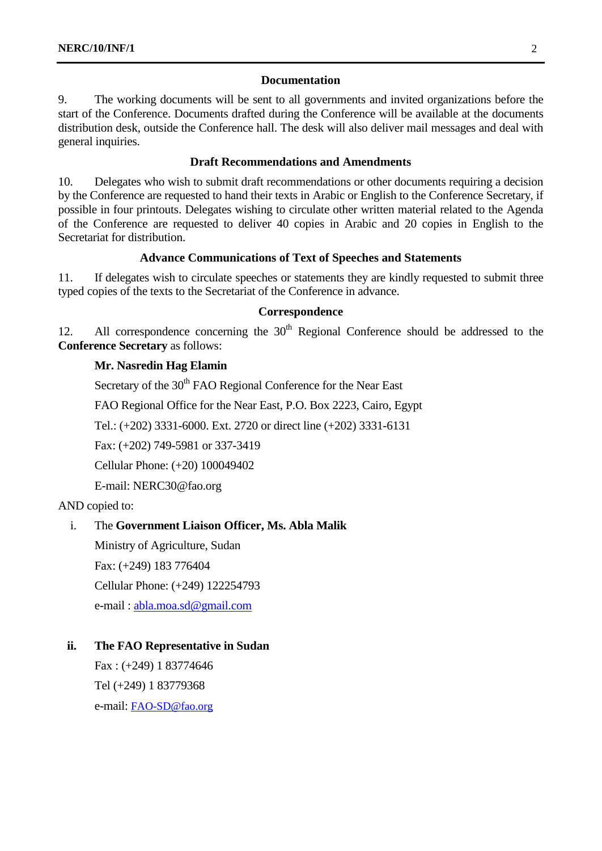#### **Documentation**

9. The working documents will be sent to all governments and invited organizations before the start of the Conference. Documents drafted during the Conference will be available at the documents distribution desk, outside the Conference hall. The desk will also deliver mail messages and deal with general inquiries.

#### **Draft Recommendations and Amendments**

10. Delegates who wish to submit draft recommendations or other documents requiring a decision by the Conference are requested to hand their texts in Arabic or English to the Conference Secretary, if possible in four printouts. Delegates wishing to circulate other written material related to the Agenda of the Conference are requested to deliver 40 copies in Arabic and 20 copies in English to the Secretariat for distribution.

#### **Advance Communications of Text of Speeches and Statements**

11. If delegates wish to circulate speeches or statements they are kindly requested to submit three typed copies of the texts to the Secretariat of the Conference in advance.

#### **Correspondence**

12. All correspondence concerning the  $30<sup>th</sup>$  Regional Conference should be addressed to the **Conference Secretary** as follows:

#### **Mr. Nasredin Hag Elamin**

Secretary of the 30<sup>th</sup> FAO Regional Conference for the Near East

FAO Regional Office for the Near East, P.O. Box 2223, Cairo, Egypt

Tel.: (+202) 3331-6000. Ext. 2720 or direct line (+202) 3331-6131

Fax: (+202) 749-5981 or 337-3419

Cellular Phone: (+20) 100049402

E-mail: NERC30@fao.org

AND copied to:

## i. The **Government Liaison Officer, Ms. Abla Malik**

Ministry of Agriculture, Sudan Fax: (+249) 183 776404 Cellular Phone: (+249) 122254793 e-mail : [abla.moa.sd@gmail.com](mailto:abla.moa.sd@gmail.com)

#### **ii. The FAO Representative in Sudan**

Fax : (+249) 1 83774646 Tel (+249) 1 83779368 e-mail: [FAO-SD@fao.org](mailto:FAO-SD@fao.org)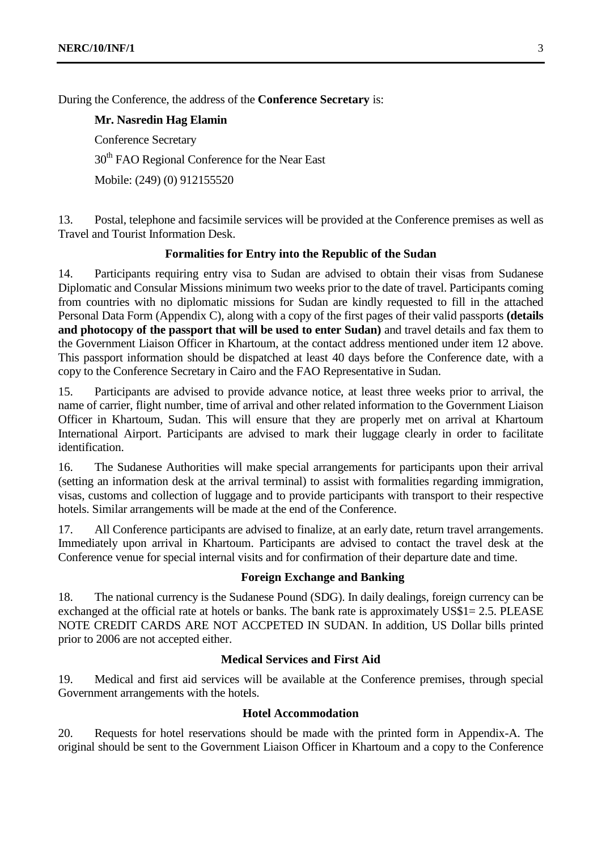During the Conference, the address of the **Conference Secretary** is:

**Mr. Nasredin Hag Elamin**

Conference Secretary

30<sup>th</sup> FAO Regional Conference for the Near East

Mobile: (249) (0) 912155520

13. Postal, telephone and facsimile services will be provided at the Conference premises as well as Travel and Tourist Information Desk.

#### **Formalities for Entry into the Republic of the Sudan**

14. Participants requiring entry visa to Sudan are advised to obtain their visas from Sudanese Diplomatic and Consular Missions minimum two weeks prior to the date of travel. Participants coming from countries with no diplomatic missions for Sudan are kindly requested to fill in the attached Personal Data Form (Appendix C), along with a copy of the first pages of their valid passports **(details and photocopy of the passport that will be used to enter Sudan)** and travel details and fax them to the Government Liaison Officer in Khartoum, at the contact address mentioned under item 12 above. This passport information should be dispatched at least 40 days before the Conference date, with a copy to the Conference Secretary in Cairo and the FAO Representative in Sudan.

15. Participants are advised to provide advance notice, at least three weeks prior to arrival, the name of carrier, flight number, time of arrival and other related information to the Government Liaison Officer in Khartoum, Sudan. This will ensure that they are properly met on arrival at Khartoum International Airport. Participants are advised to mark their luggage clearly in order to facilitate identification.

16. The Sudanese Authorities will make special arrangements for participants upon their arrival (setting an information desk at the arrival terminal) to assist with formalities regarding immigration, visas, customs and collection of luggage and to provide participants with transport to their respective hotels. Similar arrangements will be made at the end of the Conference.

17. All Conference participants are advised to finalize, at an early date, return travel arrangements. Immediately upon arrival in Khartoum. Participants are advised to contact the travel desk at the Conference venue for special internal visits and for confirmation of their departure date and time.

#### **Foreign Exchange and Banking**

18. The national currency is the Sudanese Pound (SDG). In daily dealings, foreign currency can be exchanged at the official rate at hotels or banks. The bank rate is approximately US\$1= 2.5. PLEASE NOTE CREDIT CARDS ARE NOT ACCPETED IN SUDAN. In addition, US Dollar bills printed prior to 2006 are not accepted either.

#### **Medical Services and First Aid**

19. Medical and first aid services will be available at the Conference premises, through special Government arrangements with the hotels.

#### **Hotel Accommodation**

20. Requests for hotel reservations should be made with the printed form in Appendix-A. The original should be sent to the Government Liaison Officer in Khartoum and a copy to the Conference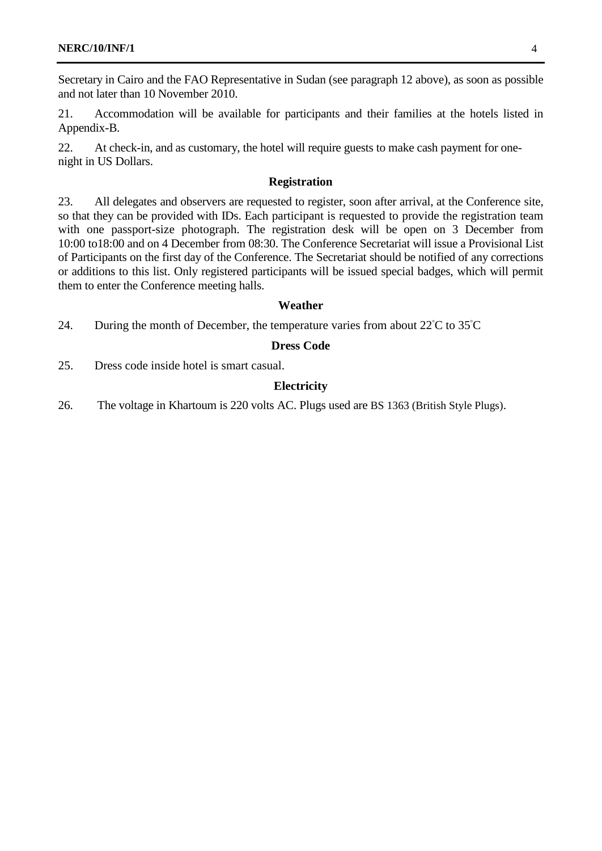Secretary in Cairo and the FAO Representative in Sudan (see paragraph 12 above), as soon as possible and not later than 10 November 2010.

21. Accommodation will be available for participants and their families at the hotels listed in Appendix-B.

22. At check-in, and as customary, the hotel will require guests to make cash payment for onenight in US Dollars.

#### **Registration**

23. All delegates and observers are requested to register, soon after arrival, at the Conference site, so that they can be provided with IDs. Each participant is requested to provide the registration team with one passport-size photograph. The registration desk will be open on 3 December from 10:00 to18:00 and on 4 December from 08:30. The Conference Secretariat will issue a Provisional List of Participants on the first day of the Conference. The Secretariat should be notified of any corrections or additions to this list. Only registered participants will be issued special badges, which will permit them to enter the Conference meeting halls.

#### **Weather**

24. During the month of December, the temperature varies from about 22°C to 35°C

#### **Dress Code**

25. Dress code inside hotel is smart casual.

#### **Electricity**

26. The voltage in Khartoum is 220 volts AC. Plugs used are BS 1363 (British Style Plugs).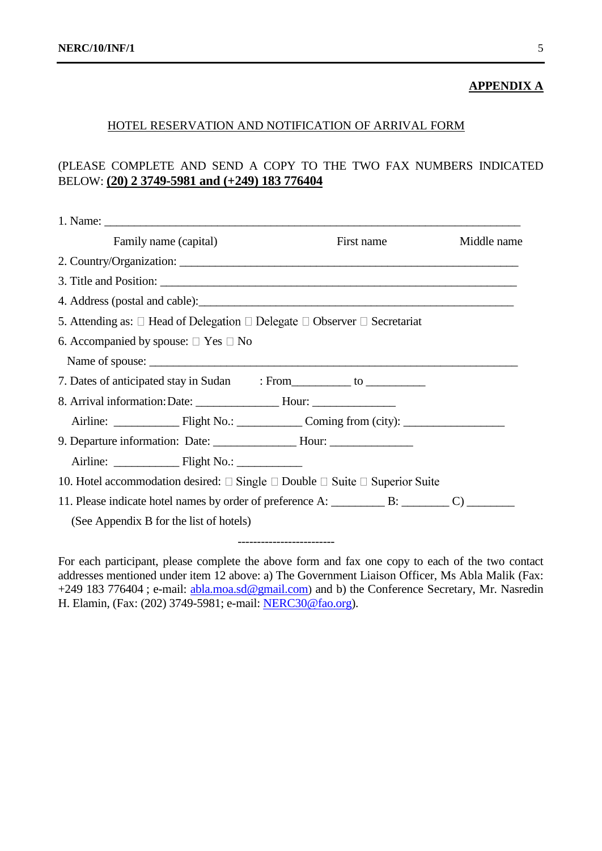#### **APPENDIX A**

#### HOTEL RESERVATION AND NOTIFICATION OF ARRIVAL FORM

# (PLEASE COMPLETE AND SEND A COPY TO THE TWO FAX NUMBERS INDICATED BELOW: **(20) 2 3749-5981 and (+249) 183 776404**

| Family name (capital)                                                                           | First name | Middle name |
|-------------------------------------------------------------------------------------------------|------------|-------------|
| 2. Country/Organization: 2008. Example 2. Country/Organization:                                 |            |             |
|                                                                                                 |            |             |
|                                                                                                 |            |             |
| 5. Attending as: $\Box$ Head of Delegation $\Box$ Delegate $\Box$ Observer $\Box$ Secretariat   |            |             |
| 6. Accompanied by spouse: $\square$ Yes $\square$ No                                            |            |             |
| Name of spouse:                                                                                 |            |             |
| 7. Dates of anticipated stay in Sudan : From ____________ to ___________________                |            |             |
|                                                                                                 |            |             |
| Airline: Flight No.: Coming from (city):                                                        |            |             |
| 9. Departure information: Date: ______________________Hour: ____________________                |            |             |
|                                                                                                 |            |             |
| 10. Hotel accommodation desired: $\Box$ Single $\Box$ Double $\Box$ Suite $\Box$ Superior Suite |            |             |
|                                                                                                 |            |             |
| (See Appendix B for the list of hotels)                                                         |            |             |
|                                                                                                 |            |             |

For each participant, please complete the above form and fax one copy to each of the two contact addresses mentioned under item 12 above: a) The Government Liaison Officer, Ms Abla Malik (Fax: +249 183 776404; e-mail: [abla.moa.sd@gmail.com](mailto:abla.moa.sd@gmail.com)) and b) the Conference Secretary, Mr. Nasredin H. Elamin, (Fax: (202) 3749-5981; e-mail[: NERC30@fao.org\)](mailto:NERC30@fao.org).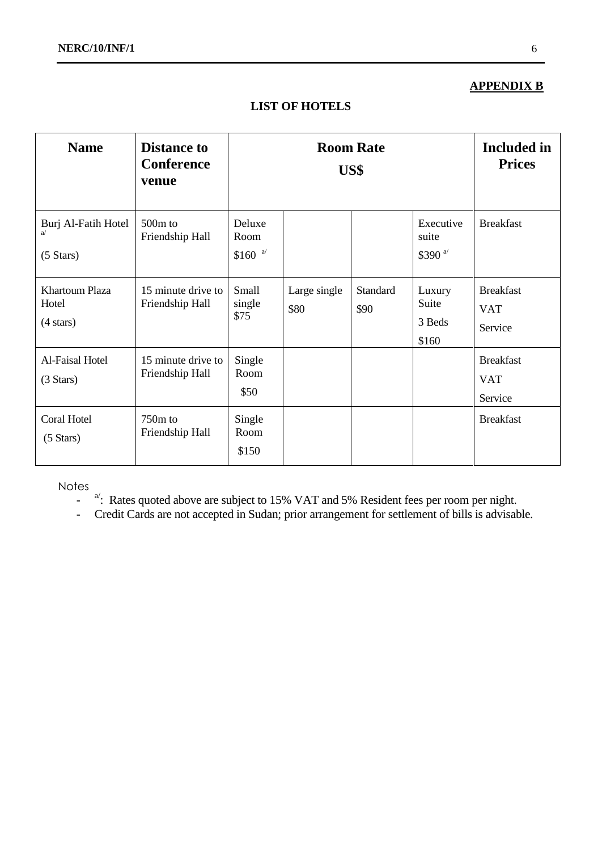# **APPENDIX B**

# **LIST OF HOTELS**

| <b>Name</b>                                           | <b>Distance to</b><br><b>Conference</b><br>venue |                             |                      | <b>Room Rate</b><br>US\$ |                                    | <b>Included in</b><br><b>Prices</b>       |
|-------------------------------------------------------|--------------------------------------------------|-----------------------------|----------------------|--------------------------|------------------------------------|-------------------------------------------|
| Burj Al-Fatih Hotel<br>a/<br>$(5 \text{ Stars})$      | 500 <sub>m</sub> to<br>Friendship Hall           | Deluxe<br>Room<br>$$160$ a' |                      |                          | Executive<br>suite<br>\$390 $a$    | <b>Breakfast</b>                          |
| <b>Khartoum Plaza</b><br>Hotel<br>$(4 \text{ stars})$ | 15 minute drive to<br>Friendship Hall            | Small<br>single<br>\$75     | Large single<br>\$80 | Standard<br>\$90         | Luxury<br>Suite<br>3 Beds<br>\$160 | <b>Breakfast</b><br><b>VAT</b><br>Service |
| Al-Faisal Hotel<br>$(3 \text{ Stars})$                | 15 minute drive to<br>Friendship Hall            | Single<br>Room<br>\$50      |                      |                          |                                    | <b>Breakfast</b><br><b>VAT</b><br>Service |
| Coral Hotel<br>$(5 \text{ Stars})$                    | $750m$ to<br>Friendship Hall                     | Single<br>Room<br>\$150     |                      |                          |                                    | <b>Breakfast</b>                          |

Notes

- $\frac{a'}{c}$ : Rates quoted above are subject to 15% VAT and 5% Resident fees per room per night.
- Credit Cards are not accepted in Sudan; prior arrangement for settlement of bills is advisable.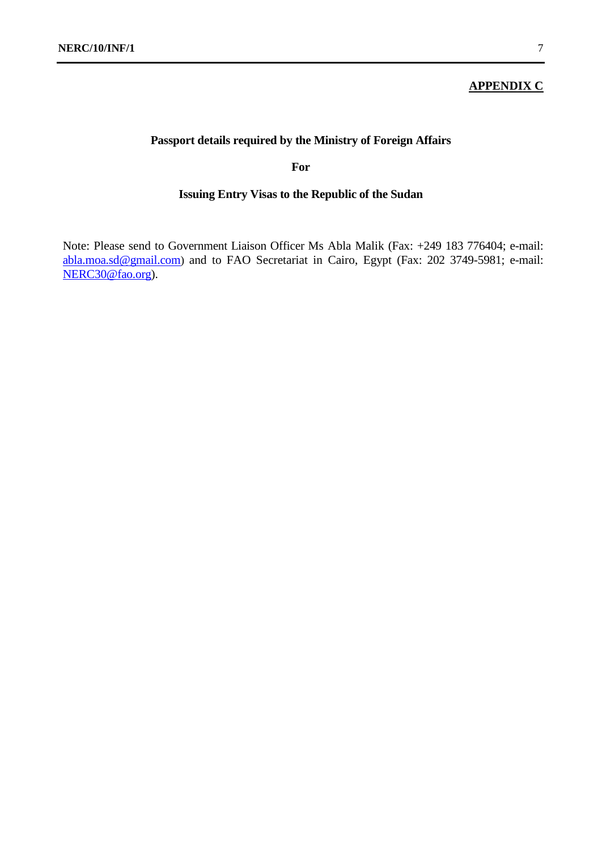#### **APPENDIX C**

# **Passport details required by the Ministry of Foreign Affairs**

**For**

### **Issuing Entry Visas to the Republic of the Sudan**

Note: Please send to Government Liaison Officer Ms Abla Malik (Fax: +249 183 776404; e-mail: [abla.moa.sd@gmail.com](mailto:abla.moa.sd@gmail.com)) and to FAO Secretariat in Cairo, Egypt (Fax: 202 3749-5981; e-mail: [NERC30@fao.org\)](mailto:NERC30@fao.org).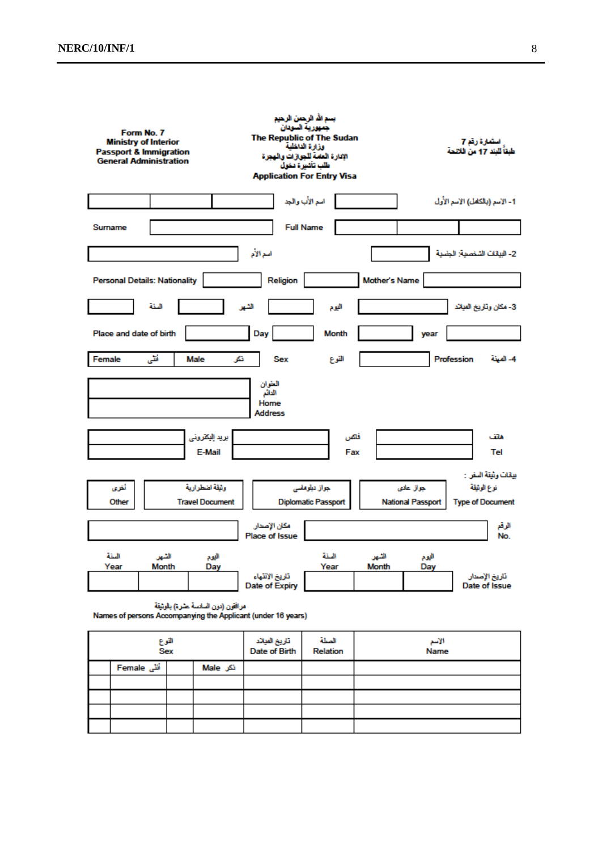| Form No. 7<br><b>Ministry of Interior</b><br><b>Passport &amp; Immigration</b><br><b>General Administration</b> |                     |                                          | The Republic of The Sudan<br><b>Application For Entry Visa</b> | بسم الله الرحمن الرحيم<br>جمهورية السودان<br>وزارة الدنظية<br>الإدارة العلمة للجوازات والهجرة<br>طلب تأشيرة دخول |                |                                       | استعارة رقم 7<br>طْعَأُ للَّيْنَدِ 17 مِنْ الْائْتَحَةَ       |
|-----------------------------------------------------------------------------------------------------------------|---------------------|------------------------------------------|----------------------------------------------------------------|------------------------------------------------------------------------------------------------------------------|----------------|---------------------------------------|---------------------------------------------------------------|
|                                                                                                                 |                     |                                          |                                                                | أسم الأب والجد                                                                                                   |                |                                       | 1- الإسم (بالكامل) الإسم الأول                                |
| Surname                                                                                                         |                     |                                          |                                                                | <b>Full Name</b>                                                                                                 |                |                                       |                                                               |
|                                                                                                                 |                     |                                          | أسم الأم                                                       |                                                                                                                  |                |                                       | 2- البيانات الشخصية: الجنسية                                  |
| <b>Personal Details: Nationality</b>                                                                            |                     |                                          | Religion                                                       |                                                                                                                  | Mother's Name  |                                       |                                                               |
|                                                                                                                 | المنة               |                                          | الشهر                                                          | اليوم                                                                                                            |                |                                       | 3- مكان وتاريخ الميائد                                        |
| Place and date of birth                                                                                         |                     |                                          | Day                                                            | Month                                                                                                            |                | year                                  |                                                               |
| Female                                                                                                          | أقلى                | Male<br>تکر                              | <b>Sex</b>                                                     | النوع                                                                                                            |                |                                       | 4- المبنة<br>Profession                                       |
|                                                                                                                 |                     |                                          | العثوان<br>الدائم<br>Home<br><b>Address</b>                    |                                                                                                                  |                |                                       |                                                               |
|                                                                                                                 |                     | بريد إليكثروني<br>E-Mail                 |                                                                | فاكس<br>Fax                                                                                                      |                |                                       | ماتف<br>Tel                                                   |
| أخرى<br>Other                                                                                                   |                     | وثيقة اضطرارية<br><b>Travel Document</b> |                                                                | جواز دبلوماسي<br><b>Diplomatic Passport</b>                                                                      |                | جواز عادى<br><b>National Passport</b> | بيقات وثيقة السفر :<br>نوع الوثيقة<br><b>Type of Document</b> |
|                                                                                                                 |                     |                                          | مكان الإصدار<br><b>Place of Issue</b>                          |                                                                                                                  |                |                                       | الزقع<br>No.                                                  |
| البثة<br>Year                                                                                                   | الشهر<br>Month      | اليوم<br>Day                             | تاريخ الانتهاء<br>Date of Expiry                               | المنة<br>Year                                                                                                    | الشهر<br>Month | اليوم<br>Day                          | تاريخ الإصدار<br>Date of Issue                                |
|                                                                                                                 |                     | مرافقون (دون السلاسة عشرة) بالوثيقة      | Names of persons Accompanying the Applicant (under 16 years)   |                                                                                                                  |                |                                       |                                                               |
|                                                                                                                 | القوع<br><b>Sex</b> |                                          | تاريخ الميلاد<br>Date of Birth                                 | المنلة<br>Relation                                                                                               |                | الأمم<br>Name                         |                                                               |
| أنشى Female                                                                                                     |                     | نکر Male                                 |                                                                |                                                                                                                  |                |                                       |                                                               |

|             | Sex |          | Date of Birth | Relation | Name |
|-------------|-----|----------|---------------|----------|------|
| أنٹی Female |     | نکر Male |               |          |      |
|             |     |          |               |          |      |
|             |     |          |               |          |      |
|             |     |          |               |          |      |
|             |     |          |               |          |      |